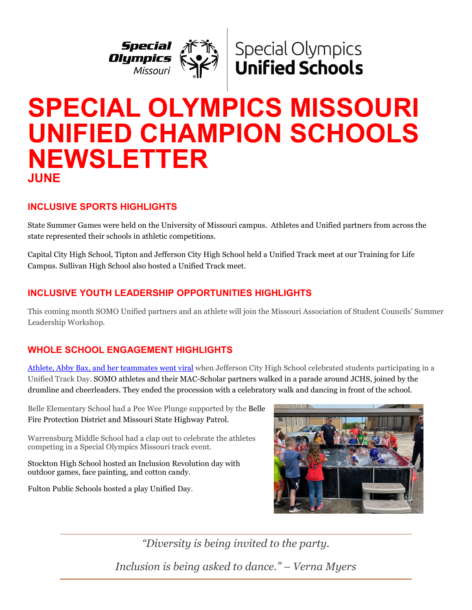



# **SPECIAL OLYMPICS MISSOURI UNIFIED CHAMPION SCHOOLS NEWSLETTER JUNE**

# **INCLUSIVE SPORTS HIGHLIGHTS**

State Summer Games were held on the University of Missouri campus. Athletes and Unified partners from across the state represented their schools in athletic competitions.

Capital City High School, Tipton and Jefferson City High School held a Unified Track meet at our Training for Life Campus. Sullivan High School also hosted a Unified Track meet.

# **INCLUSIVE YOUTH LEADERSHIP OPPORTUNITIES HIGHLIGHTS**

This coming month SOMO Unified partners and an athlete will join the Missouri Association of Student Councils' Summer Leadership Workshop.

# **WHOLE SCHOOL ENGAGEMENT HIGHLIGHTS**

[Athlete, Abby Bax, and her teammates went viral](https://fb.watch/dvdzxnRCR3/) when Jefferson City High School celebrated students participating in a Unified Track Day. SOMO athletes and their MAC-Scholar partners walked in a parade around JCHS, joined by the drumline and cheerleaders. They ended the procession with a celebratory walk and dancing in front of the school.

Belle Elementary School had a Pee Wee Plunge supported by the Belle Fire Protection District and Missouri State Highway Patrol.

Warrensburg Middle School had a clap out to celebrate the athletes competing in a Special Olympics Missouri track event.

Stockton High School hosted an Inclusion Revolution day with outdoor games, face painting, and cotton candy.

Fulton Public Schools hosted a play Unified Day.



*"Diversity is being invited to the party. Inclusion is being asked to dance." – Verna Myers*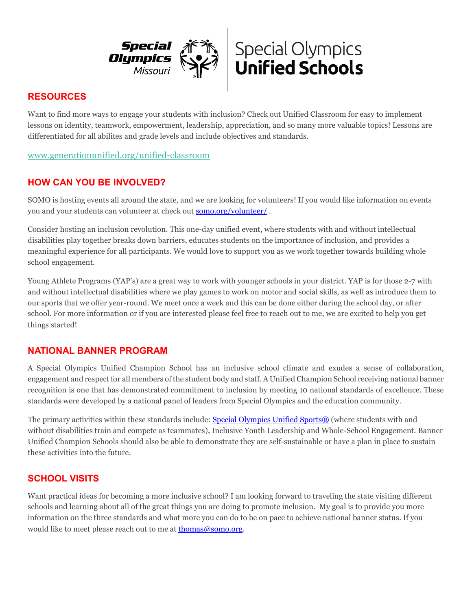



## **RESOURCES**

Want to find more ways to engage your students with inclusion? Check out Unified Classroom for easy to implement lessons on identity, teamwork, empowerment, leadership, appreciation, and so many more valuable topics! Lessons are differentiated for all abilites and grade levels and include objectives and standards.

[www.generationunified.org/unified-classroom](https://cn5pf04.na1.hubspotlinks.com/Btc/W1+113/cN5pF04/VXcC-v8-1JMhW7rV4TM2Y1j9CW7RdXLG4B40BXN7swVw73lSbNV1-WJV7CgZtJW8BqgX8439vDSW2pLj7y8vk-yXN437VpCsv6sfW5GRxrM16ZRk7W3qHCZ54-MNVtW7BJKSZ3DbrjnW7bLHy52Xj6szW1stV5Q6nbBp-W2pYM_w2fBV-rW12_TRK6gzL15N5cz8jK_sSPDW8j96sj5l28jWW4jG0k-70X2RRW8-L5y63kdb1SW2Lr4qC8THN-QW12NP8j55CVQ0W3dtD9T5MxszDW2h3zSz6Mvj8BW36yDCH4QcPxMW21Wg0Y7ShckjN2tmsjrmtWplW5jLNTz8pLd8z3bZw1)

## **HOW CAN YOU BE INVOLVED?**

SOMO is hosting events all around the state, and we are looking for volunteers! If you would like information on events you and your students can volunteer at check out [somo.org/volunteer/](https://somo.org/volunteer/,) .

Consider hosting an inclusion revolution. This one-day unified event, where students with and without intellectual disabilities play together breaks down barriers, educates students on the importance of inclusion, and provides a meaningful experience for all participants. We would love to support you as we work together towards building whole school engagement.

Young Athlete Programs (YAP's) are a great way to work with younger schools in your district. YAP is for those 2-7 with and without intellectual disabilities where we play games to work on motor and social skills, as well as introduce them to our sports that we offer year-round. We meet once a week and this can be done either during the school day, or after school. For more information or if you are interested please feel free to reach out to me, we are excited to help you get things started!

#### **NATIONAL BANNER PROGRAM**

A Special Olympics Unified Champion School has an inclusive school climate and exudes a sense of collaboration, engagement and respect for all members of the student body and staff. A Unified Champion School receiving national banner recognition is one that has demonstrated commitment to inclusion by meeting 10 national standards of excellence. These standards were developed by a national panel of leaders from Special Olympics and the education community.

The primary activities within these standards include: [Special Olympics Unified Sports®](https://www.specialolympics.org/our-work/sports/unified-sports) (where students with and without disabilities train and compete as teammates), Inclusive Youth Leadership and Whole-School Engagement. Banner Unified Champion Schools should also be able to demonstrate they are self-sustainable or have a plan in place to sustain these activities into the future.

## **SCHOOL VISITS**

Want practical ideas for becoming a more inclusive school? I am looking forward to traveling the state visiting different schools and learning about all of the great things you are doing to promote inclusion. My goal is to provide you more information on the three standards and what more you can do to be on pace to achieve national banner status. If you would like to meet please reach out to me a[t thomas@somo.org.](mailto:thomas@somo.org)